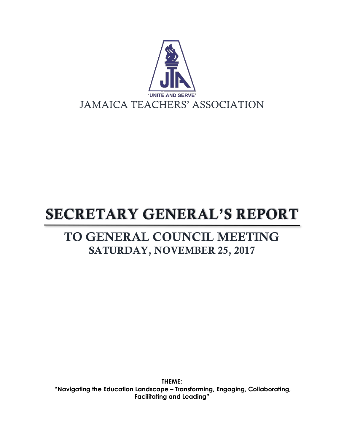

# **SECRETARY GENERAL'S REPORT**

# TO GENERAL COUNCIL MEETING SATURDAY, NOVEMBER 25, 2017

**THEME: "Navigating the Education Landscape – Transforming, Engaging, Collaborating, Facilitating and Leading"**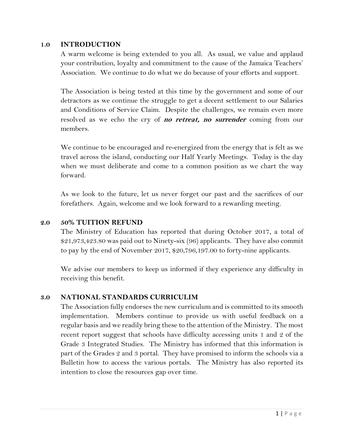#### **1.0 INTRODUCTION**

A warm welcome is being extended to you all. As usual, we value and applaud your contribution, loyalty and commitment to the cause of the Jamaica Teachers' Association. We continue to do what we do because of your efforts and support.

The Association is being tested at this time by the government and some of our detractors as we continue the struggle to get a decent settlement to our Salaries and Conditions of Service Claim. Despite the challenges, we remain even more resolved as we echo the cry of **no retreat, no surrender** coming from our members.

We continue to be encouraged and re-energized from the energy that is felt as we travel across the island, conducting our Half Yearly Meetings. Today is the day when we must deliberate and come to a common position as we chart the way forward.

As we look to the future, let us never forget our past and the sacrifices of our forefathers. Again, welcome and we look forward to a rewarding meeting.

#### **2.0 50% TUITION REFUND**

The Ministry of Education has reported that during October 2017, a total of \$21,973,423.80 was paid out to Ninety-six (96) applicants. They have also commit to pay by the end of November 2017, \$20,796,197.00 to forty-nine applicants.

We advise our members to keep us informed if they experience any difficulty in receiving this benefit.

#### **3.0 NATIONAL STANDARDS CURRICULIM**

The Association fully endorses the new curriculum and is committed to its smooth implementation. Members continue to provide us with useful feedback on a regular basis and we readily bring these to the attention of the Ministry. The most recent report suggest that schools have difficulty accessing units 1 and 2 of the Grade 3 Integrated Studies. The Ministry has informed that this information is part of the Grades 2 and 3 portal. They have promised to inform the schools via a Bulletin how to access the various portals. The Ministry has also reported its intention to close the resources gap over time.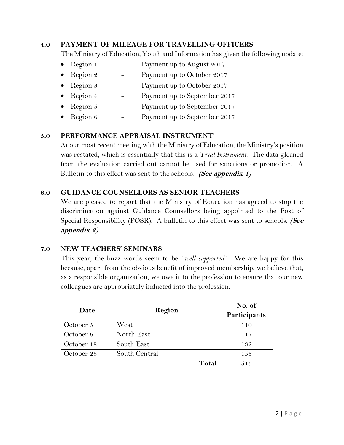#### **4.0 PAYMENT OF MILEAGE FOR TRAVELLING OFFICERS**

The Ministry of Education, Youth and Information has given the following update:

- Region 1 Payment up to August 2017
- Region  $2$  Payment up to October 2017
- Region  $\frac{3}{5}$  Payment up to October 2017
- Region 4 Payment up to September 2017
- Region  $5$  Payment up to September 2017
- Region 6 Payment up to September 2017

#### **5.0 PERFORMANCE APPRAISAL INSTRUMENT**

At our most recent meeting with the Ministry of Education, the Ministry's position was restated, which is essentially that this is a *Trial Instrument*. The data gleaned from the evaluation carried out cannot be used for sanctions or promotion. A Bulletin to this effect was sent to the schools. **(See appendix 1)**

#### **6.0 GUIDANCE COUNSELLORS AS SENIOR TEACHERS**

We are pleased to report that the Ministry of Education has agreed to stop the discrimination against Guidance Counsellors being appointed to the Post of Special Responsibility (POSR). A bulletin to this effect was sent to schools. **(See appendix 2)**

#### **7.0 NEW TEACHERS' SEMINARS**

This year, the buzz words seem to be *"well supported"*. We are happy for this because, apart from the obvious benefit of improved membership, we believe that, as a responsible organization, we owe it to the profession to ensure that our new colleagues are appropriately inducted into the profession.

| Date       | Region        | No. of       |
|------------|---------------|--------------|
|            |               | Participants |
| October 5  | West          | 110          |
| October 6  | North East    | 117          |
| October 18 | South East    | 132          |
| October 25 | South Central | 156          |
|            | Total         | 515          |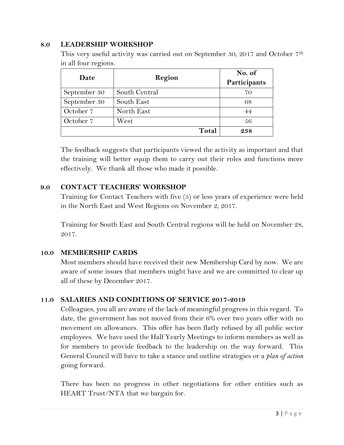#### **8.0 LEADERSHIP WORKSHOP**

This very useful activity was carried out on September 30, 2017 and October 7th in all four regions.

| Date         | Region        | No. of       |
|--------------|---------------|--------------|
|              |               | Participants |
| September 30 | South Central | 70           |
| September 30 | South East    | 68           |
| October 7    | North East    | 44           |
| October 7    | West          | 56           |
|              | Total         | 238          |

The feedback suggests that participants viewed the activity as important and that the training will better equip them to carry out their roles and functions more effectively. We thank all those who made it possible.

#### **9.0 CONTACT TEACHERS' WORKSHOP**

Training for Contact Teachers with five (5) or less years of experience were held in the North East and West Regions on November 2, 2017.

Training for South East and South Central regions will be held on November 28, 2017.

#### **10.0 MEMBERSHIP CARDS**

Most members should have received their new Membership Card by now. We are aware of some issues that members might have and we are committed to clear up all of these by December 2017.

#### **11.0 SALARIES AND CONDITIONS OF SERVICE 2017-2019**

Colleagues, you all are aware of the lack of meaningful progress in this regard. To date, the government has not moved from their 6% over two years offer with no movement on allowances. This offer has been flatly refused by all public sector employees. We have used the Half Yearly Meetings to inform members as well as for members to provide feedback to the leadership on the way forward. This General Council will have to take a stance and outline strategies or a *plan of action*  going forward.

There has been no progress in other negotiations for other entities such as HEART Trust/NTA that we bargain for.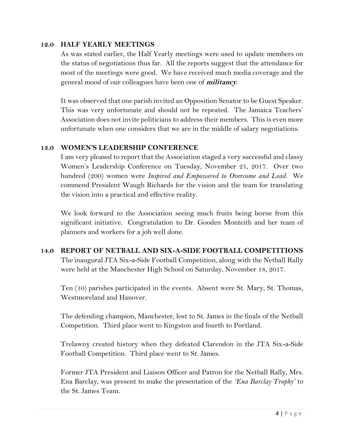#### **12.0 HALF YEARLY MEETINGS**

As was stated earlier, the Half Yearly meetings were used to update members on the status of negotiations thus far. All the reports suggest that the attendance for most of the meetings were good. We have received much media coverage and the general mood of our colleagues have been one of **militancy**.

It was observed that one parish invited an Opposition Senator to be Guest Speaker. This was very unfortunate and should not be repeated. The Jamaica Teachers' Association does not invite politicians to address their members. This is even more unfortunate when one considers that we are in the middle of salary negotiations.

#### **13.0 WOMEN'S LEADERSHIP CONFERENCE**

I am very pleased to report that the Association staged a very successful and classy Women's Leadership Conference on Tuesday, November 21, 2017. Over two hundred (200) women were *Inspired and Empowered to Overcome and Lead*. We commend President Waugh Richards for the vision and the team for translating the vision into a practical and effective reality.

We look forward to the Association seeing much fruits being borne from this significant initiative. Congratulation to Dr. Gooden Monteith and her team of planners and workers for a job well done.

## **14.0 REPORT OF NETBALL AND SIX-A-SIDE FOOTBALL COMPETITIONS** The inaugural JTA Six-a-Side Football Competition, along with the Netball Rally were held at the Manchester High School on Saturday, November 18, 2017.

Ten (10) parishes participated in the events. Absent were St. Mary, St. Thomas, Westmoreland and Hanover.

The defending champion, Manchester, lost to St. James in the finals of the Netball Competition. Third place went to Kingston and fourth to Portland.

Trelawny created history when they defeated Clarendon in the JTA Six-a-Side Football Competition. Third place went to St. James.

Former JTA President and Liaison Officer and Patron for the Netball Rally, Mrs. Ena Barclay, was present to make the presentation of the *'Ena Barclay Trophy'* to the St. James Team.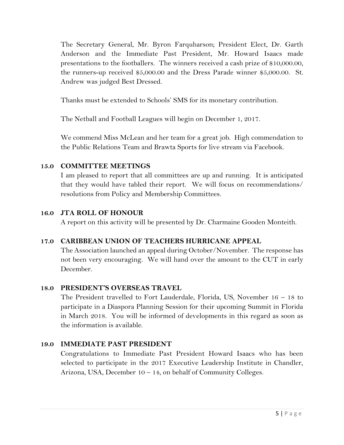The Secretary General, Mr. Byron Farquharson; President Elect, Dr. Garth Anderson and the Immediate Past President, Mr. Howard Isaacs made presentations to the footballers. The winners received a cash prize of \$10,000.00, the runners-up received \$5,000.00 and the Dress Parade winner \$5,000.00. St. Andrew was judged Best Dressed.

Thanks must be extended to Schools' SMS for its monetary contribution.

The Netball and Football Leagues will begin on December 1, 2017.

We commend Miss McLean and her team for a great job. High commendation to the Public Relations Team and Brawta Sports for live stream via Facebook.

## **15.0 COMMITTEE MEETINGS**

I am pleased to report that all committees are up and running. It is anticipated that they would have tabled their report. We will focus on recommendations/ resolutions from Policy and Membership Committees.

# **16.0 JTA ROLL OF HONOUR**

A report on this activity will be presented by Dr. Charmaine Gooden Monteith.

# **17.0 CARIBBEAN UNION OF TEACHERS HURRICANE APPEAL**

The Association launched an appeal during October/November. The response has not been very encouraging. We will hand over the amount to the CUT in early December.

# **18.0 PRESIDENT'S OVERSEAS TRAVEL**

The President travelled to Fort Lauderdale, Florida, US, November 16 – 18 to participate in a Diaspora Planning Session for their upcoming Summit in Florida in March 2018. You will be informed of developments in this regard as soon as the information is available.

# **19.0 IMMEDIATE PAST PRESIDENT**

Congratulations to Immediate Past President Howard Isaacs who has been selected to participate in the 2017 Executive Leadership Institute in Chandler, Arizona, USA, December 10 – 14, on behalf of Community Colleges.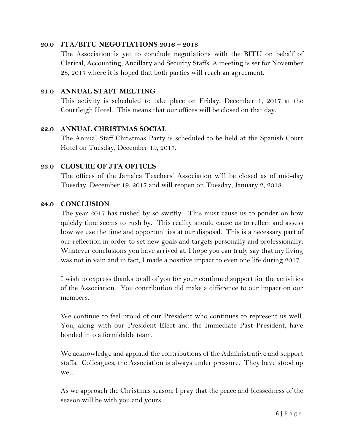#### **20.0 JTA/BITU NEGOTIATIONS 2016 – 2018**

The Association is yet to conclude negotiations with the BITU on behalf of Clerical, Accounting, Ancillary and Security Staffs. A meeting is set for November 28, 2017 where it is hoped that both parties will reach an agreement.

#### **21.0 ANNUAL STAFF MEETING**

This activity is scheduled to take place on Friday, December 1, 2017 at the Courtleigh Hotel. This means that our offices will be closed on that day.

#### **22.0 ANNUAL CHRISTMAS SOCIAL**

The Annual Staff Christmas Party is scheduled to be held at the Spanish Court Hotel on Tuesday, December 19, 2017.

#### **23.0 CLOSURE OF JTA OFFICES**

The offices of the Jamaica Teachers' Association will be closed as of mid-day Tuesday, December 19, 2017 and will reopen on Tuesday, January 2, 2018.

#### **24.0 CONCLUSION**

The year 2017 has rushed by so swiftly. This must cause us to ponder on how quickly time seems to rush by. This reality should cause us to reflect and assess how we use the time and opportunities at our disposal. This is a necessary part of our reflection in order to set new goals and targets personally and professionally. Whatever conclusions you have arrived at, I hope you can truly say that my living was not in vain and in fact, I made a positive impact to even one life during 2017.

I wish to express thanks to all of you for your continued support for the activities of the Association. You contribution did make a difference to our impact on our members.

We continue to feel proud of our President who continues to represent us well. You, along with our President Elect and the Immediate Past President, have bonded into a formidable team.

We acknowledge and applaud the contributions of the Administrative and support staffs. Colleagues, the Association is always under pressure. They have stood up well.

As we approach the Christmas season, I pray that the peace and blessedness of the season will be with you and yours.